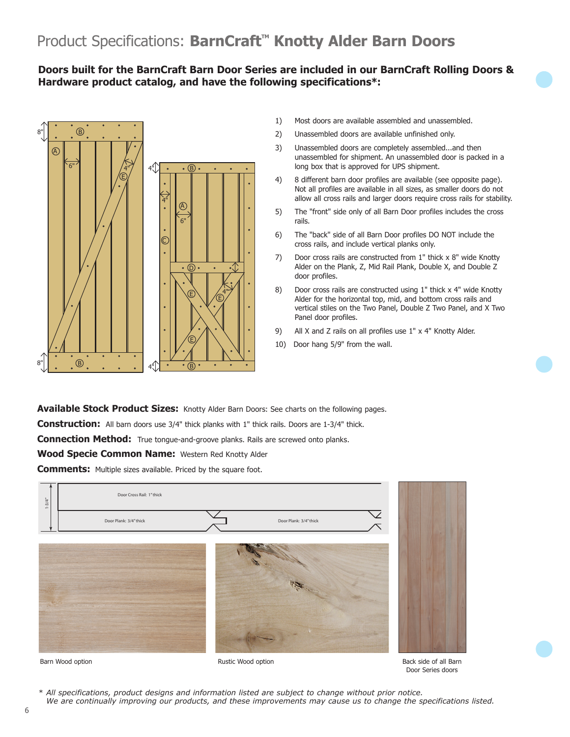## **Doors built for the BarnCraft Barn Door Series are included in our BarnCraft Rolling Doors & Hardware product catalog, and have the following specifications\*:**



- 1) Most doors are available assembled and unassembled.
- 2) Unassembled doors are available unfinished only.
- 3) Unassembled doors are completely assembled...and then unassembled for shipment. An unassembled door is packed in a long box that is approved for UPS shipment.
- 4) 8 different barn door profiles are available (see opposite page). Not all profiles are available in all sizes, as smaller doors do not allow all cross rails and larger doors require cross rails for stability.
- 5) The "front" side only of all Barn Door profiles includes the cross rails.
- 6) The "back" side of all Barn Door profiles DO NOT include the cross rails, and include vertical planks only.
- 7) Door cross rails are constructed from 1" thick x 8" wide Knotty Alder on the Plank, Z, Mid Rail Plank, Double X, and Double Z door profiles.
- 8) Door cross rails are constructed using 1" thick x 4" wide Knotty Alder for the horizontal top, mid, and bottom cross rails and vertical stiles on the Two Panel, Double Z Two Panel, and X Two Panel door profiles.
- 9) All X and Z rails on all profiles use 1" x 4" Knotty Alder.
- 10) Door hang 5/9" from the wall.

**Available Stock Product Sizes:** Knotty Alder Barn Doors: See charts on the following pages.

Construction: All barn doors use 3/4" thick planks with 1" thick rails. Doors are 1-3/4" thick.

**Connection Method:** True tongue-and-groove planks. Rails are screwed onto planks.

**Wood Specie Common Name:** Western Red Knotty Alder

**Comments:** Multiple sizes available. Priced by the square foot.



Barn Wood option **Barn Wood option** 

Back side of all Barn Door Series doors

*\* All specifications, product designs and information listed are subject to change without prior notice. We are continually improving our products, and these improvements may cause us to change the specifications listed.*